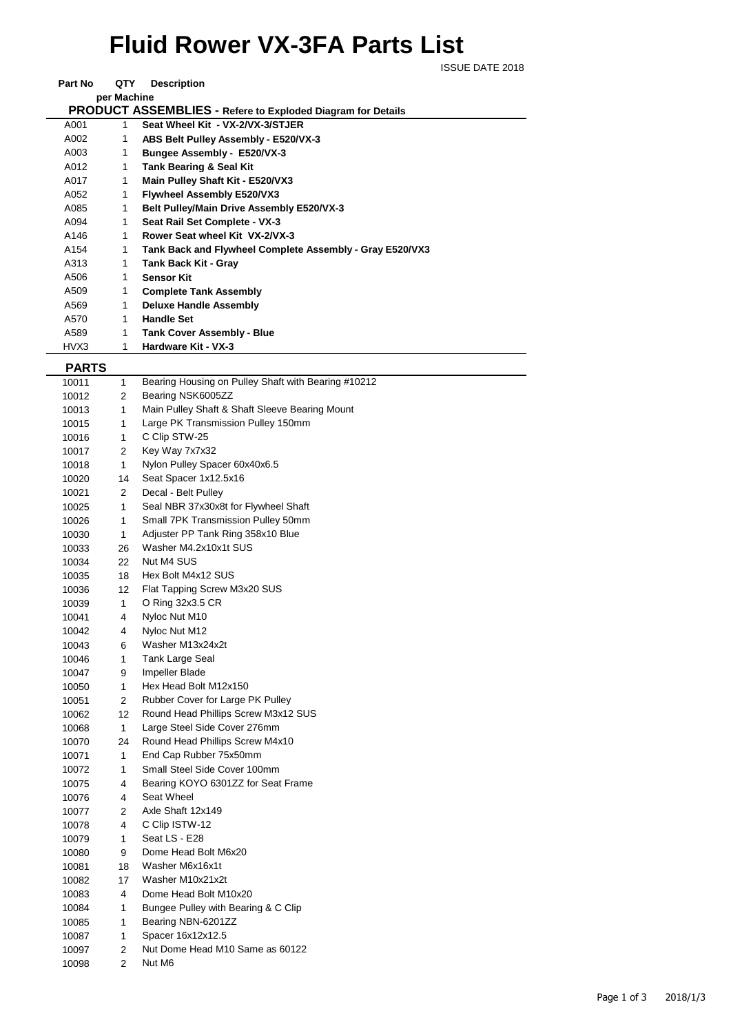## **Fluid Rower VX-3FA Parts List**

ISSUE DATE 2018

| Part No                                                            | QTY | <b>Description</b>                                       |  |  |  |  |
|--------------------------------------------------------------------|-----|----------------------------------------------------------|--|--|--|--|
| per Machine                                                        |     |                                                          |  |  |  |  |
| <b>PRODUCT ASSEMBLIES - Refere to Exploded Diagram for Details</b> |     |                                                          |  |  |  |  |
| A001                                                               | 1   | Seat Wheel Kit - VX-2/VX-3/STJER                         |  |  |  |  |
| A002                                                               | 1   | ABS Belt Pulley Assembly - E520/VX-3                     |  |  |  |  |
| A003                                                               | 1   | Bungee Assembly - E520/VX-3                              |  |  |  |  |
| A012                                                               | 1   | <b>Tank Bearing &amp; Seal Kit</b>                       |  |  |  |  |
| A017                                                               | 1   | Main Pulley Shaft Kit - E520/VX3                         |  |  |  |  |
| A052                                                               | 1   | Flywheel Assembly E520/VX3                               |  |  |  |  |
| A085                                                               | 1   | Belt Pulley/Main Drive Assembly E520/VX-3                |  |  |  |  |
| A094                                                               | 1   | Seat Rail Set Complete - VX-3                            |  |  |  |  |
| A146                                                               | 1   | Rower Seat wheel Kit VX-2/VX-3                           |  |  |  |  |
| A154                                                               | 1   | Tank Back and Flywheel Complete Assembly - Gray E520/VX3 |  |  |  |  |
| A313                                                               | 1   | <b>Tank Back Kit - Gray</b>                              |  |  |  |  |
| A506                                                               | 1   | <b>Sensor Kit</b>                                        |  |  |  |  |
| A509                                                               | 1   | <b>Complete Tank Assembly</b>                            |  |  |  |  |
| A569                                                               | 1   | <b>Deluxe Handle Assembly</b>                            |  |  |  |  |
| A570                                                               | 1   | <b>Handle Set</b>                                        |  |  |  |  |
| A589                                                               | 1   | <b>Tank Cover Assembly - Blue</b>                        |  |  |  |  |
| HVX3                                                               | 1   | Hardware Kit - VX-3                                      |  |  |  |  |

 **PARTS**

| . <sub>mw</sub> |                |                                                     |
|-----------------|----------------|-----------------------------------------------------|
| 10011           | 1              | Bearing Housing on Pulley Shaft with Bearing #10212 |
| 10012           | 2              | Bearing NSK6005ZZ                                   |
| 10013           | 1              | Main Pulley Shaft & Shaft Sleeve Bearing Mount      |
| 10015           | 1              | Large PK Transmission Pulley 150mm                  |
| 10016           | $\mathbf{1}$   | C Clip STW-25                                       |
| 10017           | $\overline{2}$ | Key Way 7x7x32                                      |
| 10018           | $\mathbf{1}$   | Nylon Pulley Spacer 60x40x6.5                       |
| 10020           | 14             | Seat Spacer 1x12.5x16                               |
| 10021           | 2              | Decal - Belt Pulley                                 |
| 10025           | $\mathbf{1}$   | Seal NBR 37x30x8t for Flywheel Shaft                |
| 10026           | $\mathbf{1}$   | Small 7PK Transmission Pulley 50mm                  |
| 10030           | 1              | Adjuster PP Tank Ring 358x10 Blue                   |
| 10033           | 26             | Washer M4.2x10x1t SUS                               |
| 10034           | 22             | Nut M4 SUS                                          |
| 10035           | 18             | Hex Bolt M4x12 SUS                                  |
| 10036           | 12             | Flat Tapping Screw M3x20 SUS                        |
| 10039           | $\mathbf{1}$   | O Ring 32x3.5 CR                                    |
| 10041           | $\overline{4}$ | Nyloc Nut M10                                       |
| 10042           | 4              | Nyloc Nut M12                                       |
| 10043           | 6              | Washer M13x24x2t                                    |
| 10046           | 1              | Tank Large Seal                                     |
| 10047           | 9              | Impeller Blade                                      |
| 10050           | $\mathbf{1}$   | Hex Head Bolt M12x150                               |
| 10051           | 2              | Rubber Cover for Large PK Pulley                    |
| 10062           | 12             | Round Head Phillips Screw M3x12 SUS                 |
| 10068           | $\mathbf{1}$   | Large Steel Side Cover 276mm                        |
| 10070           | 24             | Round Head Phillips Screw M4x10                     |
| 10071           | $\mathbf{1}$   | End Cap Rubber 75x50mm                              |
| 10072           | 1              | Small Steel Side Cover 100mm                        |
| 10075           | 4              | Bearing KOYO 6301ZZ for Seat Frame                  |
| 10076           | 4              | Seat Wheel                                          |
| 10077           | 2              | Axle Shaft 12x149                                   |
| 10078           | 4              | C Clip ISTW-12                                      |
| 10079           | 1              | Seat LS - E28                                       |
| 10080           | 9              | Dome Head Bolt M6x20                                |
| 10081           | 18             | Washer M6x16x1t                                     |
| 10082           | 17             | Washer M10x21x2t                                    |
| 10083           | 4              | Dome Head Bolt M10x20                               |
| 10084           | 1              | Bungee Pulley with Bearing & C Clip                 |
| 10085           | $\mathbf{1}$   | Bearing NBN-6201ZZ                                  |
| 10087           | $\mathbf{1}$   | Spacer 16x12x12.5                                   |
| 10097           | $\overline{2}$ | Nut Dome Head M10 Same as 60122                     |
| 10098           | $\overline{2}$ | Nut M6                                              |
|                 |                |                                                     |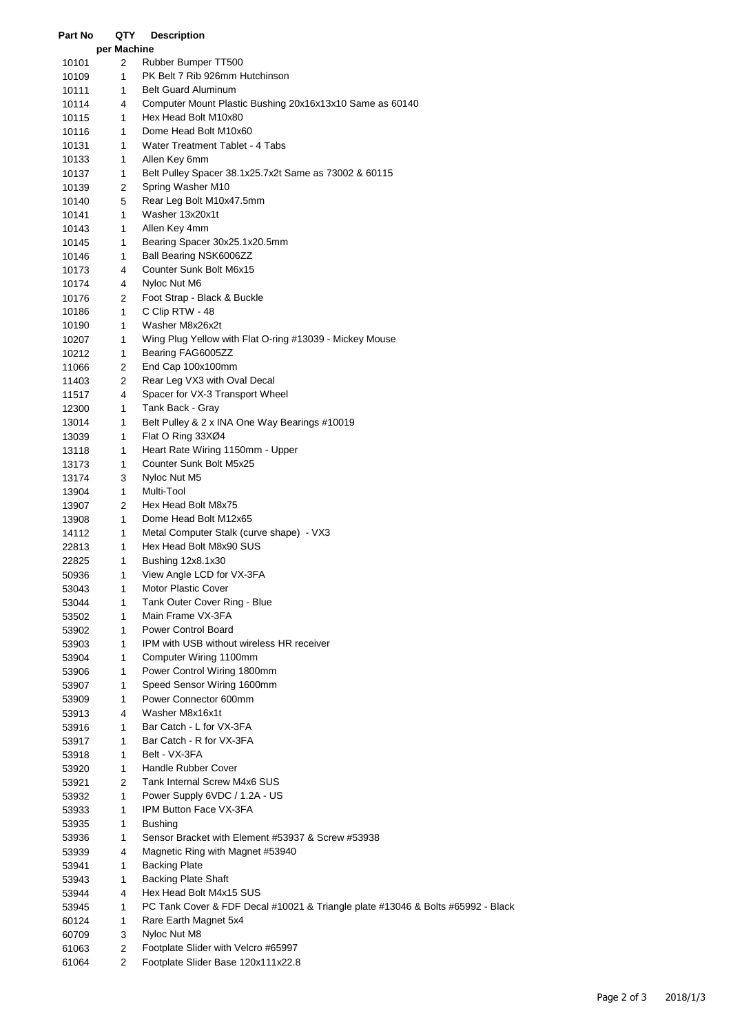| Part No        | QTY               | <b>Description</b>                                                              |
|----------------|-------------------|---------------------------------------------------------------------------------|
|                | per Machine       |                                                                                 |
| 10101          | 2                 | Rubber Bumper TT500                                                             |
| 10109          | 1                 | PK Belt 7 Rib 926mm Hutchinson                                                  |
| 10111          | 1                 | <b>Belt Guard Aluminum</b>                                                      |
| 10114          | 4                 | Computer Mount Plastic Bushing 20x16x13x10 Same as 60140                        |
| 10115          | $\mathbf{1}$      | Hex Head Bolt M10x80                                                            |
| 10116          | 1                 | Dome Head Bolt M10x60                                                           |
| 10131          | $\mathbf{1}$      | Water Treatment Tablet - 4 Tabs                                                 |
| 10133          | 1                 | Allen Key 6mm                                                                   |
| 10137          | 1                 | Belt Pulley Spacer 38.1x25.7x2t Same as 73002 & 60115                           |
| 10139          | 2                 | Spring Washer M10                                                               |
| 10140          | 5                 | Rear Leg Bolt M10x47.5mm                                                        |
| 10141          | 1                 | Washer 13x20x1t                                                                 |
| 10143          | $\mathbf{1}$      | Allen Key 4mm                                                                   |
| 10145          | $\mathbf{1}$      | Bearing Spacer 30x25.1x20.5mm                                                   |
| 10146          | $\mathbf{1}$      | Ball Bearing NSK6006ZZ                                                          |
| 10173          | 4                 | Counter Sunk Bolt M6x15                                                         |
| 10174          | 4                 | Nyloc Nut M6                                                                    |
| 10176<br>10186 | 2<br>$\mathbf{1}$ | Foot Strap - Black & Buckle<br>C Clip RTW - 48                                  |
| 10190          | 1                 | Washer M8x26x2t                                                                 |
|                | 1                 | Wing Plug Yellow with Flat O-ring #13039 - Mickey Mouse                         |
| 10207<br>10212 | $\mathbf{1}$      | Bearing FAG6005ZZ                                                               |
| 11066          | $\overline{2}$    | End Cap 100x100mm                                                               |
| 11403          | 2                 | Rear Leg VX3 with Oval Decal                                                    |
| 11517          | 4                 | Spacer for VX-3 Transport Wheel                                                 |
| 12300          | 1                 | Tank Back - Gray                                                                |
| 13014          | 1                 | Belt Pulley & 2 x INA One Way Bearings #10019                                   |
| 13039          | 1                 | Flat O Ring 33XØ4                                                               |
| 13118          | $\mathbf{1}$      | Heart Rate Wiring 1150mm - Upper                                                |
| 13173          | $\mathbf{1}$      | Counter Sunk Bolt M5x25                                                         |
| 13174          | 3                 | Nyloc Nut M5                                                                    |
| 13904          | $\mathbf{1}$      | Multi-Tool                                                                      |
| 13907          | 2                 | Hex Head Bolt M8x75                                                             |
| 13908          | 1                 | Dome Head Bolt M12x65                                                           |
| 14112          | $\mathbf{1}$      | Metal Computer Stalk (curve shape) - VX3                                        |
| 22813          | 1                 | Hex Head Bolt M8x90 SUS                                                         |
| 22825          | 1                 | Bushing 12x8.1x30                                                               |
| 50936          | 1                 | View Angle LCD for VX-3FA                                                       |
| 53043          | 1                 | <b>Motor Plastic Cover</b>                                                      |
| 53044          | 1                 | Tank Outer Cover Ring - Blue                                                    |
| 53502          | 1                 | Main Frame VX-3FA                                                               |
| 53902          | $\mathbf{1}$      | <b>Power Control Board</b>                                                      |
| 53903          | 1                 | <b>IPM with USB without wireless HR receiver</b>                                |
| 53904          | 1                 | Computer Wiring 1100mm                                                          |
| 53906          | 1                 | Power Control Wiring 1800mm                                                     |
| 53907          | 1                 | Speed Sensor Wiring 1600mm                                                      |
| 53909          | 1                 | Power Connector 600mm                                                           |
| 53913          | 4                 | Washer M8x16x1t                                                                 |
| 53916          | 1                 | Bar Catch - L for VX-3FA                                                        |
| 53917          | 1                 | Bar Catch - R for VX-3FA                                                        |
| 53918          | 1                 | Belt - VX-3FA                                                                   |
| 53920          | $\mathbf{1}$      | Handle Rubber Cover                                                             |
| 53921          | $\overline{2}$    | Tank Internal Screw M4x6 SUS                                                    |
| 53932          | 1                 | Power Supply 6VDC / 1.2A - US                                                   |
| 53933          | 1                 | IPM Button Face VX-3FA                                                          |
| 53935          | 1                 | <b>Bushing</b>                                                                  |
| 53936          | 1                 | Sensor Bracket with Element #53937 & Screw #53938                               |
| 53939          | 4                 | Magnetic Ring with Magnet #53940                                                |
| 53941          | 1                 | <b>Backing Plate</b>                                                            |
| 53943          | $\mathbf{1}$      | <b>Backing Plate Shaft</b>                                                      |
| 53944          | 4<br>1            | Hex Head Bolt M4x15 SUS                                                         |
| 53945          | 1                 | PC Tank Cover & FDF Decal #10021 & Triangle plate #13046 & Bolts #65992 - Black |
| 60124<br>60709 | 3                 | Rare Earth Magnet 5x4<br>Nyloc Nut M8                                           |
| 61063          | $\overline{2}$    | Footplate Slider with Velcro #65997                                             |
| 61064          | $\overline{2}$    | Footplate Slider Base 120x111x22.8                                              |
|                |                   |                                                                                 |